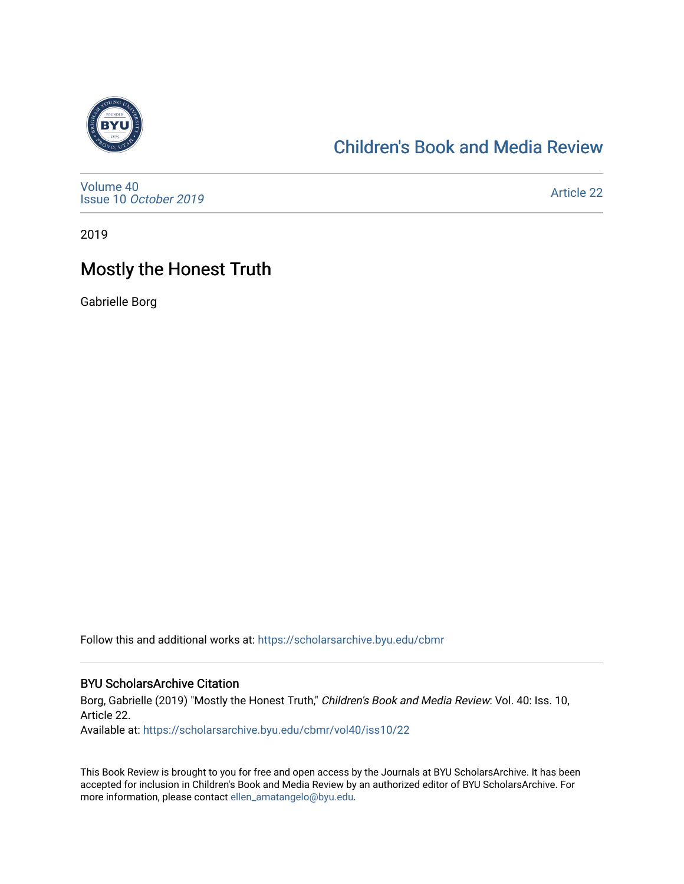

## [Children's Book and Media Review](https://scholarsarchive.byu.edu/cbmr)

[Volume 40](https://scholarsarchive.byu.edu/cbmr/vol40) Issue 10 [October 2019](https://scholarsarchive.byu.edu/cbmr/vol40/iss10)

[Article 22](https://scholarsarchive.byu.edu/cbmr/vol40/iss10/22) 

2019

## Mostly the Honest Truth

Gabrielle Borg

Follow this and additional works at: [https://scholarsarchive.byu.edu/cbmr](https://scholarsarchive.byu.edu/cbmr?utm_source=scholarsarchive.byu.edu%2Fcbmr%2Fvol40%2Fiss10%2F22&utm_medium=PDF&utm_campaign=PDFCoverPages) 

#### BYU ScholarsArchive Citation

Borg, Gabrielle (2019) "Mostly the Honest Truth," Children's Book and Media Review: Vol. 40: Iss. 10, Article 22.

Available at: [https://scholarsarchive.byu.edu/cbmr/vol40/iss10/22](https://scholarsarchive.byu.edu/cbmr/vol40/iss10/22?utm_source=scholarsarchive.byu.edu%2Fcbmr%2Fvol40%2Fiss10%2F22&utm_medium=PDF&utm_campaign=PDFCoverPages) 

This Book Review is brought to you for free and open access by the Journals at BYU ScholarsArchive. It has been accepted for inclusion in Children's Book and Media Review by an authorized editor of BYU ScholarsArchive. For more information, please contact [ellen\\_amatangelo@byu.edu.](mailto:ellen_amatangelo@byu.edu)